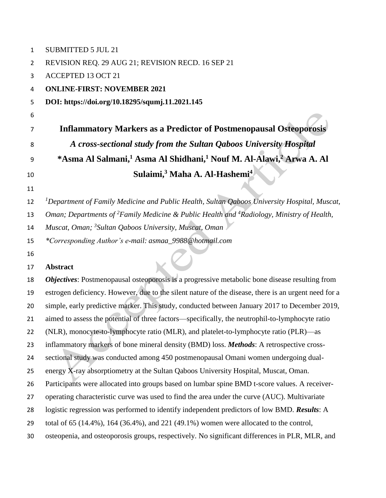| $\mathbf{1}$   | <b>SUBMITTED 5 JUL 21</b>                                                                                         |
|----------------|-------------------------------------------------------------------------------------------------------------------|
| $\overline{2}$ | REVISION REQ. 29 AUG 21; REVISION RECD. 16 SEP 21                                                                 |
| 3              | <b>ACCEPTED 13 OCT 21</b>                                                                                         |
| 4              | <b>ONLINE-FIRST: NOVEMBER 2021</b>                                                                                |
| 5              | DOI: https://doi.org/10.18295/squmj.11.2021.145                                                                   |
| 6              |                                                                                                                   |
| 7              | <b>Inflammatory Markers as a Predictor of Postmenopausal Osteoporosis</b>                                         |
| 8              | A cross-sectional study from the Sultan Qaboos University Hospital                                                |
| 9              | *Asma Al Salmani, <sup>1</sup> Asma Al Shidhani, <sup>1</sup> Nouf M. Al-Alawi, <sup>2</sup> Arwa A. Al           |
| 10             | Sulaimi, <sup>3</sup> Maha A. Al-Hashemi <sup>4</sup>                                                             |
| 11             |                                                                                                                   |
| 12             | <sup>1</sup> Department of Family Medicine and Public Health, Sultan Qaboos University Hospital, Muscat,          |
| 13             | Oman; Departments of <sup>2</sup> Family Medicine & Public Health and <sup>4</sup> Radiology, Ministry of Health, |
| 14             | Muscat, Oman; <sup>3</sup> Sultan Qaboos University, Muscat, Oman                                                 |
| 15             | *Corresponding Author's e-mail: asmaa_9988@hotmail.com                                                            |
|                |                                                                                                                   |
| 16             |                                                                                                                   |
| 17             | <b>Abstract</b>                                                                                                   |
| 18             | <b>Objectives:</b> Postmenopausal osteoporosis is a progressive metabolic bone disease resulting from             |
| 19             | estrogen deficiency. However, due to the silent nature of the disease, there is an urgent need for a              |
| 20             | simple, early predictive marker. This study, conducted between January 2017 to December 2019,                     |
| 21             | aimed to assess the potential of three factors—specifically, the neutrophil-to-lymphocyte ratio                   |
| 22             | (NLR), monocyte-to-lymphocyte ratio (MLR), and platelet-to-lymphocyte ratio (PLR)—as                              |
| 23             | inflammatory markers of bone mineral density (BMD) loss. Methods: A retrospective cross-                          |
| 24             | sectional study was conducted among 450 postmenopausal Omani women undergoing dual-                               |
| 25             | energy X-ray absorptiometry at the Sultan Qaboos University Hospital, Muscat, Oman.                               |
| 26             | Participants were allocated into groups based on lumbar spine BMD t-score values. A receiver-                     |
| 27             | operating characteristic curve was used to find the area under the curve (AUC). Multivariate                      |
| 28             | logistic regression was performed to identify independent predictors of low BMD. Results: A                       |
| 29             | total of 65 $(14.4\%)$ , 164 $(36.4\%)$ , and 221 $(49.1\%)$ women were allocated to the control,                 |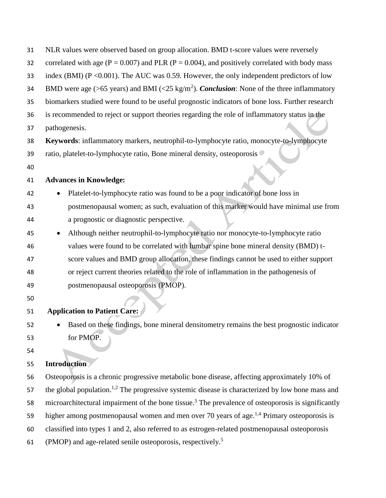| 31 | NLR values were observed based on group allocation. BMD t-score values were reversely                          |
|----|----------------------------------------------------------------------------------------------------------------|
| 32 | correlated with age ( $P = 0.007$ ) and PLR ( $P = 0.004$ ), and positively correlated with body mass          |
| 33 | index (BMI) ( $P \le 0.001$ ). The AUC was 0.59. However, the only independent predictors of low               |
| 34 | BMD were age (>65 years) and BMI (<25 kg/m <sup>2</sup> ). <i>Conclusion</i> : None of the three inflammatory  |
| 35 | biomarkers studied were found to be useful prognostic indicators of bone loss. Further research                |
| 36 | is recommended to reject or support theories regarding the role of inflammatory status in the                  |
| 37 | pathogenesis.                                                                                                  |
| 38 | Keywords: inflammatory markers, neutrophil-to-lymphocyte ratio, monocyte-to-lymphocyte                         |
| 39 | ratio, platelet-to-lymphocyte ratio, Bone mineral density, osteoporosis .                                      |
| 40 |                                                                                                                |
| 41 | <b>Advances in Knowledge:</b>                                                                                  |
| 42 | Platelet-to-lymphocyte ratio was found to be a poor indicator of bone loss in                                  |
| 43 | postmenopausal women; as such, evaluation of this marker would have minimal use from                           |
| 44 | a prognostic or diagnostic perspective.                                                                        |
| 45 | Although neither neutrophil-to-lymphocyte ratio nor monocyte-to-lymphocyte ratio                               |
| 46 | values were found to be correlated with lumbar spine bone mineral density (BMD) t-                             |
| 47 | score values and BMD group allocation, these findings cannot be used to either support                         |
| 48 | or reject current theories related to the role of inflammation in the pathogenesis of                          |
| 49 | postmenopausal osteoporosis (PMOP).                                                                            |
| 50 |                                                                                                                |
| 51 | <b>Application to Patient Care:</b>                                                                            |
| 52 | Based on these findings, bone mineral densitometry remains the best prognostic indicator                       |
| 53 | for PMOP.                                                                                                      |
| 54 |                                                                                                                |
| 55 | <b>Introduction</b>                                                                                            |
| 56 | Osteoporosis is a chronic progressive metabolic bone disease, affecting approximately 10% of                   |
| 57 | the global population. <sup>1,2</sup> The progressive systemic disease is characterized by low bone mass and   |
| 58 | microarchitectural impairment of the bone tissue. <sup>3</sup> The prevalence of osteoporosis is significantly |
| 59 | higher among postmenopausal women and men over 70 years of age. <sup>1,4</sup> Primary osteoporosis is         |
| 60 | classified into types 1 and 2, also referred to as estrogen-related postmenopausal osteoporosis                |
| 61 | (PMOP) and age-related senile osteoporosis, respectively. <sup>5</sup>                                         |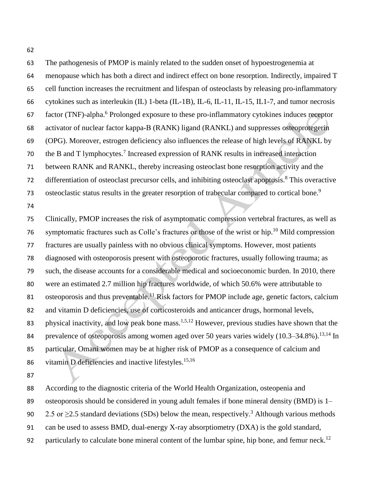The pathogenesis of PMOP is mainly related to the sudden onset of hypoestrogenemia at menopause which has both a direct and indirect effect on bone resorption. Indirectly, impaired T cell function increases the recruitment and lifespan of osteoclasts by releasing pro-inflammatory cytokines such as interleukin (IL) 1-beta (IL-1B), IL-6, IL-11, IL-15, IL1-7, and tumor necrosis 67 factor (TNF)-alpha.<sup>6</sup> Prolonged exposure to these pro-inflammatory cytokines induces receptor activator of nuclear factor kappa-Β (RANK) ligand (RANKL) and suppresses osteoprotegerin (OPG). Moreover, estrogen deficiency also influences the release of high levels of RANKL by 70 the B and T lymphocytes.<sup>7</sup> Increased expression of RANK results in increased interaction between RANK and RANKL, thereby increasing osteoclast bone resorption activity and the 72 differentiation of osteoclast precursor cells, and inhibiting osteoclast apoptosis.<sup>8</sup> This overactive osteoclastic status results in the greater resorption of trabecular compared to cortical bone.<sup>9</sup> Clinically, PMOP increases the risk of asymptomatic compression vertebral fractures, as well as 76 symptomatic fractures such as Colle's fractures or those of the wrist or hip.<sup>10</sup> Mild compression fractures are usually painless with no obvious clinical symptoms. However, most patients diagnosed with osteoporosis present with osteoporotic fractures, usually following trauma; as such, the disease accounts for a considerable medical and socioeconomic burden. In 2010, there were an estimated 2.7 million hip fractures worldwide, of which 50.6% were attributable to 81 osteoporosis and thus preventable.<sup>11</sup> Risk factors for PMOP include age, genetic factors, calcium and vitamin D deficiencies, use of corticosteroids and anticancer drugs, hormonal levels, 83 physical inactivity, and low peak bone mass.<sup>1,5,12</sup> However, previous studies have shown that the 84 prevalence of osteoporosis among women aged over 50 years varies widely (10.3–34.8%).<sup>13,14</sup> In particular, Omani women may be at higher risk of PMOP as a consequence of calcium and

86 vitamin D deficiencies and inactive lifestyles.<sup>15,16</sup>

According to the diagnostic criteria of the World Health Organization, osteopenia and

89 osteoporosis should be considered in young adult females if bone mineral density (BMD) is 1–

90 2.5 or  $\geq$  2.5 standard deviations (SDs) below the mean, respectively.<sup>3</sup> Although various methods

can be used to assess BMD, dual-energy X-ray absorptiometry (DXA) is the gold standard,

92 particularly to calculate bone mineral content of the lumbar spine, hip bone, and femur neck.<sup>12</sup>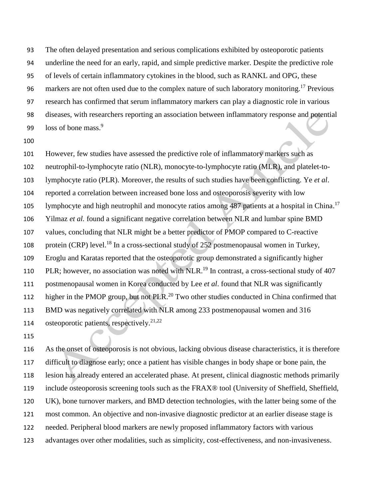The often delayed presentation and serious complications exhibited by osteoporotic patients underline the need for an early, rapid, and simple predictive marker. Despite the predictive role of levels of certain inflammatory cytokines in the blood, such as RANKL and OPG, these 96 markers are not often used due to the complex nature of such laboratory monitoring.<sup>17</sup> Previous research has confirmed that serum inflammatory markers can play a diagnostic role in various diseases, with researchers reporting an association between inflammatory response and potential loss of bone mass.<sup>9</sup> 

 However, few studies have assessed the predictive role of inflammatory markers such as neutrophil-to-lymphocyte ratio (NLR), monocyte-to-lymphocyte ratio (MLR), and platelet-to- lymphocyte ratio (PLR). Moreover, the results of such studies have been conflicting. Ye *et al*. reported a correlation between increased bone loss and osteoporosis severity with low 105 lymphocyte and high neutrophil and monocyte ratios among 487 patients at a hospital in China.<sup>17</sup> Yilmaz *et al.* found a significant negative correlation between NLR and lumbar spine BMD values, concluding that NLR might be a better predictor of PMOP compared to C-reactive 108 protein (CRP) level.<sup>18</sup> In a cross-sectional study of 252 postmenopausal women in Turkey, Eroglu and Karatas reported that the osteoporotic group demonstrated a significantly higher 110 PLR; however, no association was noted with NLR.<sup>19</sup> In contrast, a cross-sectional study of 407 postmenopausal women in Korea conducted by Lee *et al*. found that NLR was significantly 112 higher in the PMOP group, but not PLR.<sup>20</sup> Two other studies conducted in China confirmed that BMD was negatively correlated with NLR among 233 postmenopausal women and 316 osteoporotic patients, respectively. 21,22 

 As the onset of osteoporosis is not obvious, lacking obvious disease characteristics, it is therefore difficult to diagnose early; once a patient has visible changes in body shape or bone pain, the lesion has already entered an accelerated phase. At present, clinical diagnostic methods primarily include osteoporosis screening tools such as the FRAX® tool (University of Sheffield, Sheffield, UK), bone turnover markers, and BMD detection technologies, with the latter being some of the most common. An objective and non-invasive diagnostic predictor at an earlier disease stage is needed. Peripheral blood markers are newly proposed inflammatory factors with various advantages over other modalities, such as simplicity, cost-effectiveness, and non-invasiveness.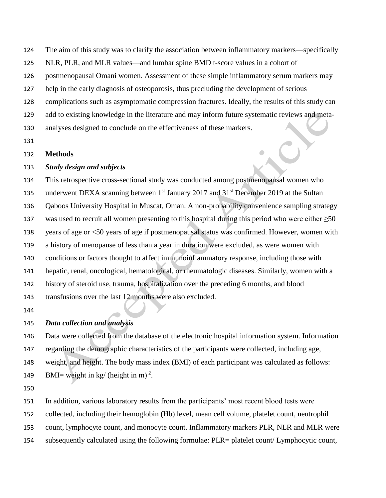The aim of this study was to clarify the association between inflammatory markers—specifically

NLR, PLR, and MLR values—and lumbar spine BMD t-score values in a cohort of

postmenopausal Omani women. Assessment of these simple inflammatory serum markers may

help in the early diagnosis of osteoporosis, thus precluding the development of serious

complications such as asymptomatic compression fractures. Ideally, the results of this study can

add to existing knowledge in the literature and may inform future systematic reviews and meta-

analyses designed to conclude on the effectiveness of these markers.

### **Methods**

#### *Study design and subjects*

 This retrospective cross-sectional study was conducted among postmenopausal women who 135 underwent DEXA scanning between  $1<sup>st</sup>$  January 2017 and 31<sup>st</sup> December 2019 at the Sultan Qaboos University Hospital in Muscat, Oman. A non-probability convenience sampling strategy was used to recruit all women presenting to this hospital during this period who were either ≥50 years of age or <50 years of age if postmenopausal status was confirmed. However, women with a history of menopause of less than a year in duration were excluded, as were women with conditions or factors thought to affect immunoinflammatory response, including those with hepatic, renal, oncological, hematological, or rheumatologic diseases. Similarly, women with a history of steroid use, trauma, hospitalization over the preceding 6 months, and blood transfusions over the last 12 months were also excluded.

# *Data collection and analysis*

 Data were collected from the database of the electronic hospital information system. Information regarding the demographic characteristics of the participants were collected, including age,

weight, and height. The body mass index (BMI) of each participant was calculated as follows:

149 BMI= weight in kg/ (height in m)<sup>2</sup>.

In addition, various laboratory results from the participants' most recent blood tests were

collected, including their hemoglobin (Hb) level, mean cell volume, platelet count, neutrophil

count, lymphocyte count, and monocyte count. Inflammatory markers PLR, NLR and MLR were

subsequently calculated using the following formulae: PLR= platelet count/ Lymphocytic count,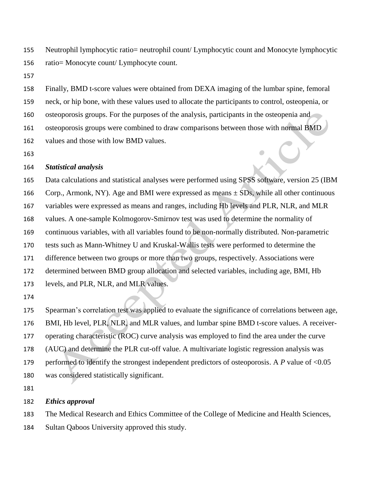Neutrophil lymphocytic ratio= neutrophil count/ Lymphocytic count and Monocyte lymphocytic ratio= Monocyte count/ Lymphocyte count.

 Finally, BMD t-score values were obtained from DEXA imaging of the lumbar spine, femoral neck, or hip bone, with these values used to allocate the participants to control, osteopenia, or osteoporosis groups. For the purposes of the analysis, participants in the osteopenia and osteoporosis groups were combined to draw comparisons between those with normal BMD values and those with low BMD values.

#### *Statistical analysis*

 Data calculations and statistical analyses were performed using SPSS software, version 25 (IBM 166 Corp., Armonk, NY). Age and BMI were expressed as means  $\pm$  SDs, while all other continuous variables were expressed as means and ranges, including Hb levels and PLR, NLR, and MLR values. A one-sample Kolmogorov-Smirnov test was used to determine the normality of continuous variables, with all variables found to be non-normally distributed. Non-parametric tests such as Mann-Whitney U and Kruskal-Wallis tests were performed to determine the difference between two groups or more than two groups, respectively. Associations were determined between BMD group allocation and selected variables, including age, BMI, Hb levels, and PLR, NLR, and MLR values.

Spearman's correlation test was applied to evaluate the significance of correlations between age,

BMI, Hb level, PLR, NLR, and MLR values, and lumbar spine BMD t-score values. A receiver-

operating characteristic (ROC) curve analysis was employed to find the area under the curve

(AUC) and determine the PLR cut-off value. A multivariate logistic regression analysis was

179 performed to identify the strongest independent predictors of osteoporosis. A *P* value of <0.05

was considered statistically significant.

*Ethics approval*

The Medical Research and Ethics Committee of the College of Medicine and Health Sciences,

Sultan Qaboos University approved this study.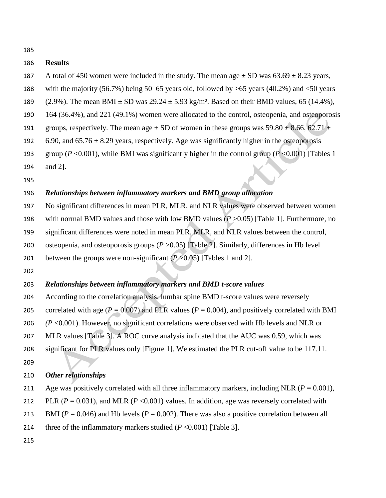#### **Results**

- 187 A total of 450 women were included in the study. The mean age  $\pm$  SD was 63.69  $\pm$  8.23 years,
- with the majority (56.7%) being 50–65 years old, followed by >65 years (40.2%) and <50 years
- 189 (2.9%). The mean BMI  $\pm$  SD was 29.24  $\pm$  5.93 kg/m<sup>2</sup>. Based on their BMD values, 65 (14.4%),
- 164 (36.4%), and 221 (49.1%) women were allocated to the control, osteopenia, and osteoporosis
- 191 groups, respectively. The mean age  $\pm$  SD of women in these groups was 59.80  $\pm$  8.66, 62.71  $\pm$
- 192 6.90, and  $65.76 \pm 8.29$  years, respectively. Age was significantly higher in the osteoporosis
- group (*P* <0.001), while BMI was significantly higher in the control group (*P* <0.001) [Tables 1
- and 2].
- 

### *Relationships between inflammatory markers and BMD group allocation*

 No significant differences in mean PLR, MLR, and NLR values were observed between women 198 with normal BMD values and those with low BMD values  $(P > 0.05)$  [Table 1]. Furthermore, no 199 significant differences were noted in mean PLR, MLR, and NLR values between the control,

- 200 osteopenia, and osteoporosis groups ( $P > 0.05$ ) [Table 2]. Similarly, differences in Hb level
- between the groups were non-significant (*P* >0.05) [Tables 1 and 2].
- 

## *Relationships between inflammatory markers and BMD t-score values*

- According to the correlation analysis, lumbar spine BMD t-score values were reversely
- 205 correlated with age ( $P = 0.007$ ) and PLR values ( $P = 0.004$ ), and positively correlated with BMI
- *(P* <0.001). However, no significant correlations were observed with Hb levels and NLR or
- MLR values [Table 3]. A ROC curve analysis indicated that the AUC was 0.59, which was
- significant for PLR values only [Figure 1]. We estimated the PLR cut-off value to be 117.11.
- 

#### *Other relationships*

- 211 Age was positively correlated with all three inflammatory markers, including NLR  $(P = 0.001)$ ,
- 212 PLR ( $P = 0.031$ ), and MLR ( $P < 0.001$ ) values. In addition, age was reversely correlated with
- 213 BMI ( $P = 0.046$ ) and Hb levels ( $P = 0.002$ ). There was also a positive correlation between all
- 214 three of the inflammatory markers studied  $(P \le 0.001)$  [Table 3].
-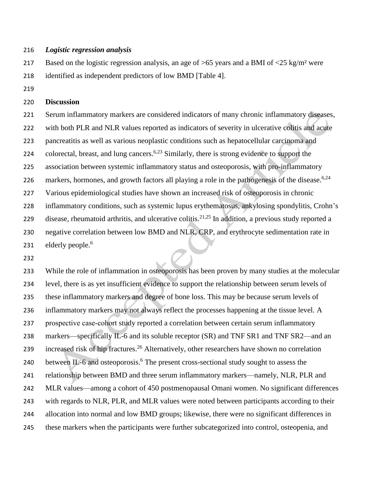#### *Logistic regression analysis*

217 Based on the logistic regression analysis, an age of  $>65$  years and a BMI of  $<25$  kg/m<sup>2</sup> were identified as independent predictors of low BMD [Table 4].

#### **Discussion**

 Serum inflammatory markers are considered indicators of many chronic inflammatory diseases, 222 with both PLR and NLR values reported as indicators of severity in ulcerative colitis and acute pancreatitis as well as various neoplastic conditions such as hepatocellular carcinoma and 224 colorectal, breast, and lung cancers.<sup>6,23</sup> Similarly, there is strong evidence to support the association between systemic inflammatory status and osteoporosis, with pro-inflammatory markers, hormones, and growth factors all playing a role in the pathogenesis of the disease.<sup>6,24</sup> Various epidemiological studies have shown an increased risk of osteoporosis in chronic inflammatory conditions, such as systemic lupus erythematosus, ankylosing spondylitis, Crohn's 229 disease, rheumatoid arthritis, and ulcerative colitis.<sup>21,25</sup> In addition, a previous study reported a negative correlation between low BMD and NLR, CRP, and erythrocyte sedimentation rate in elderly people. 6 

 While the role of inflammation in osteoporosis has been proven by many studies at the molecular level, there is as yet insufficient evidence to support the relationship between serum levels of these inflammatory markers and degree of bone loss. This may be because serum levels of inflammatory markers may not always reflect the processes happening at the tissue level. A prospective case‐cohort study reported a correlation between certain serum inflammatory 238 markers—specifically IL-6 and its soluble receptor (SR) and TNF SR1 and TNF SR2—and an 239 increased risk of hip fractures.<sup>26</sup> Alternatively, other researchers have shown no correlation 240 between IL-6 and osteoporosis.<sup>6</sup> The present cross-sectional study sought to assess the relationship between BMD and three serum inflammatory markers—namely, NLR, PLR and MLR values—among a cohort of 450 postmenopausal Omani women. No significant differences 243 with regards to NLR, PLR, and MLR values were noted between participants according to their allocation into normal and low BMD groups; likewise, there were no significant differences in these markers when the participants were further subcategorized into control, osteopenia, and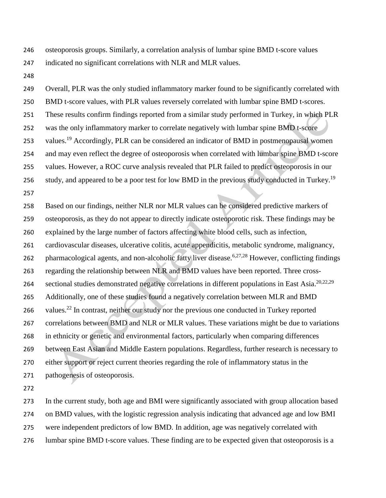osteoporosis groups. Similarly, a correlation analysis of lumbar spine BMD t-score values

indicated no significant correlations with NLR and MLR values.

 Overall, PLR was the only studied inflammatory marker found to be significantly correlated with BMD t-score values, with PLR values reversely correlated with lumbar spine BMD t-scores. These results confirm findings reported from a similar study performed in Turkey, in which PLR was the only inflammatory marker to correlate negatively with lumbar spine BMD t-score 253 values.<sup>19</sup> Accordingly, PLR can be considered an indicator of BMD in postmenopausal women and may even reflect the degree of osteoporosis when correlated with lumbar spine BMD t-score values. However, a ROC curve analysis revealed that PLR failed to predict osteoporosis in our study, and appeared to be a poor test for low BMD in the previous study conducted in Turkey.<sup>19</sup> 

 Based on our findings, neither NLR nor MLR values can be considered predictive markers of osteoporosis, as they do not appear to directly indicate osteoporotic risk. These findings may be explained by the large number of factors affecting white blood cells, such as infection, cardiovascular diseases, ulcerative colitis, acute appendicitis, metabolic syndrome, malignancy, 262 pharmacological agents, and non-alcoholic fatty liver disease.<sup>6,27,28</sup> However, conflicting findings regarding the relationship between NLR and BMD values have been reported. Three crosssectional studies demonstrated negative correlations in different populations in East Asia.<sup>20,22,29</sup> Additionally, one of these studies found a negatively correlation between MLR and BMD 266 values.<sup>22</sup> In contrast, neither our study nor the previous one conducted in Turkey reported correlations between BMD and NLR or MLR values. These variations might be due to variations in ethnicity or genetic and environmental factors, particularly when comparing differences between East Asian and Middle Eastern populations. Regardless, further research is necessary to either support or reject current theories regarding the role of inflammatory status in the pathogenesis of osteoporosis.

 In the current study, both age and BMI were significantly associated with group allocation based on BMD values, with the logistic regression analysis indicating that advanced age and low BMI were independent predictors of low BMD. In addition, age was negatively correlated with lumbar spine BMD t-score values. These finding are to be expected given that osteoporosis is a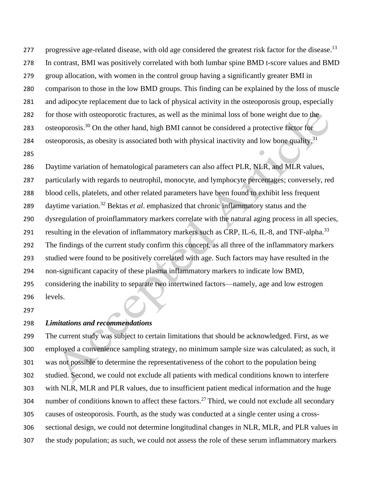277 progressive age-related disease, with old age considered the greatest risk factor for the disease.<sup>13</sup> In contrast, BMI was positively correlated with both lumbar spine BMD t-score values and BMD group allocation, with women in the control group having a significantly greater BMI in comparison to those in the low BMD groups. This finding can be explained by the loss of muscle and adipocyte replacement due to lack of physical activity in the osteoporosis group, especially for those with osteoporotic fractures, as well as the minimal loss of bone weight due to the 283 osteoporosis.<sup>30</sup> On the other hand, high BMI cannot be considered a protective factor for osteoporosis, as obesity is associated both with physical inactivity and low bone quality.<sup>31</sup> 

 Daytime variation of hematological parameters can also affect PLR, NLR, and MLR values, particularly with regards to neutrophil, monocyte, and lymphocyte percentages; conversely, red blood cells, platelets, and other related parameters have been found to exhibit less frequent 289 daytime variation.<sup>32</sup> Bektas *et al*. emphasized that chronic inflammatory status and the dysregulation of proinflammatory markers correlate with the natural aging process in all species, resulting in the elevation of inflammatory markers such as CRP, IL-6, IL-8, and TNF-alpha.<sup>33</sup> The findings of the current study confirm this concept, as all three of the inflammatory markers studied were found to be positively correlated with age. Such factors may have resulted in the non-significant capacity of these plasma inflammatory markers to indicate low BMD, considering the inability to separate two intertwined factors—namely, age and low estrogen levels.

#### *Limitations and [recommendations](https://docs.google.com/document/d/1Q_iqUJFfPB5SzAr32gCw6hbTmisap8CR/edit#heading=h.1ci93xb)*

 The current study was subject to certain limitations that should be acknowledged. First, as we employed a convenience sampling strategy, no minimum sample size was calculated; as such, it was not possible to determine the representativeness of the cohort to the population being studied. Second, we could not exclude all patients with medical conditions known to interfere with NLR, MLR and PLR values, due to insufficient patient medical information and the huge 304 number of conditions known to affect these factors.<sup>27</sup> Third, we could not exclude all secondary causes of osteoporosis. Fourth, as the study was conducted at a single center using a cross- sectional design, we could not determine longitudinal changes in NLR, MLR, and PLR values in the study population; as such, we could not assess the role of these serum inflammatory markers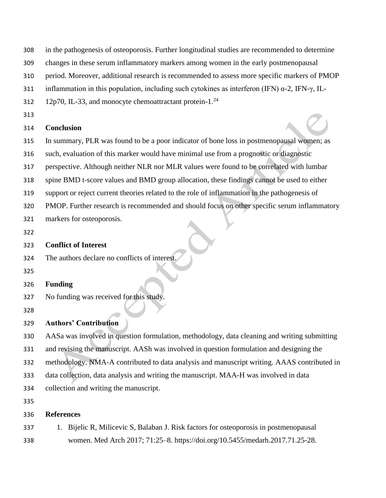- in the pathogenesis of osteoporosis. Further longitudinal studies are recommended to determine
- changes in these serum inflammatory markers among women in the early postmenopausal
- period. Moreover, additional research is recommended to assess more specific markers of PMOP
- 311 inflammation in this population, including such cytokines as interferon (IFN)  $\alpha$ -2, IFN- $\gamma$ , IL-
- 12p70, IL-33, and monocyte chemoattractant protein-1. $^{24}$
- 

### **Conclusion**

- In summary, PLR was found to be a poor indicator of bone loss in postmenopausal women; as
- such, evaluation of this marker would have minimal use from a prognostic or diagnostic
- perspective. Although neither NLR nor MLR values were found to be correlated with lumbar
- spine BMD t-score values and BMD group allocation, these findings cannot be used to either
- support or reject current theories related to the role of inflammation in the pathogenesis of
- PMOP. Further research is recommended and should focus on other specific serum inflammatory
- markers for osteoporosis.
- 

## **Conflict of Interest**

- The authors declare no conflicts of interest.
- 
- **Funding**
- No funding was received for this study.
- 

# **Authors' Contribution**

- AASa was involved in question formulation, methodology, data cleaning and writing submitting
- and revising the manuscript. AASh was involved in question formulation and designing the
- methodology. NMA-A contributed to data analysis and manuscript writing. AAAS contributed in
- data collection, data analysis and writing the manuscript. MAA-H was involved in data
- collection and writing the manuscript.

# **References**

 1. Bijelic R, Milicevic S, Balaban J. Risk factors for osteoporosis in postmenopausal women. Med Arch 2017; 71:25–8. https://doi.org/10.5455/medarh.2017.71.25-28.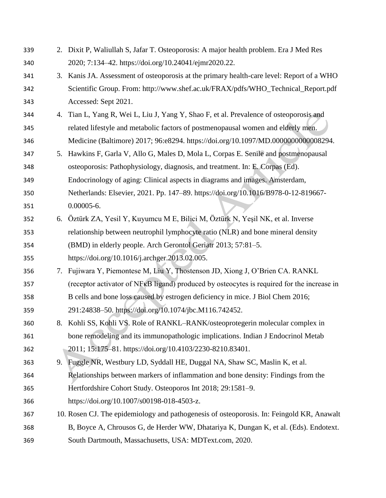| 339 | 2. | Dixit P, Waliullah S, Jafar T. Osteoporosis: A major health problem. Era J Med Res                      |
|-----|----|---------------------------------------------------------------------------------------------------------|
| 340 |    | 2020; 7:134-42. https://doi.org/10.24041/ejmr2020.22.                                                   |
| 341 |    | 3. Kanis JA. Assessment of osteoporosis at the primary health-care level: Report of a WHO               |
| 342 |    | Scientific Group. From: http://www.shef.ac.uk/FRAX/pdfs/WHO_Technical_Report.pdf                        |
| 343 |    | Accessed: Sept 2021.                                                                                    |
| 344 | 4. | Tian L, Yang R, Wei L, Liu J, Yang Y, Shao F, et al. Prevalence of osteoporosis and                     |
| 345 |    | related lifestyle and metabolic factors of postmenopausal women and elderly men.                        |
| 346 |    | Medicine (Baltimore) 2017; 96:e8294. https://doi.org/10.1097/MD.0000000000008294.                       |
| 347 | 5. | Hawkins F, Garla V, Allo G, Males D, Mola L, Corpas E. Senile and postmenopausal                        |
| 348 |    | osteoporosis: Pathophysiology, diagnosis, and treatment. In: E. Corpas (Ed).                            |
| 349 |    | Endocrinology of aging: Clinical aspects in diagrams and images. Amsterdam,                             |
| 350 |    | Netherlands: Elsevier, 2021. Pp. 147-89. https://doi.org/10.1016/B978-0-12-819667-                      |
| 351 |    | $0.00005 - 6.$                                                                                          |
| 352 |    | 6. Öztürk ZA, Yesil Y, Kuyumcu M E, Bilici M, Öztürk N, Yeşil NK, et al. Inverse                        |
| 353 |    | relationship between neutrophil lymphocyte ratio (NLR) and bone mineral density                         |
| 354 |    | (BMD) in elderly people. Arch Gerontol Geriatr 2013; 57:81-5.                                           |
| 355 |    | https://doi.org/10.1016/j.archger.2013.02.005.                                                          |
| 356 | 7. | Fujiwara Y, Piemontese M, Liu Y, Thostenson JD, Xiong J, O'Brien CA. RANKL                              |
| 357 |    | (receptor activator of NF <sub>K</sub> B ligand) produced by osteocytes is required for the increase in |
| 358 |    | B cells and bone loss caused by estrogen deficiency in mice. J Biol Chem 2016;                          |
| 359 |    | 291:24838-50. https://doi.org/10.1074/jbc.M116.742452.                                                  |
| 360 |    | 8. Kohli SS, Kohli VS. Role of RANKL-RANK/osteoprotegerin molecular complex in                          |
| 361 |    | bone remodeling and its immunopathologic implications. Indian J Endocrinol Metab                        |
| 362 |    | 2011; 15:175-81. https://doi.org/10.4103/2230-8210.83401.                                               |
| 363 |    | 9. Fuggle NR, Westbury LD, Syddall HE, Duggal NA, Shaw SC, Maslin K, et al.                             |
| 364 |    | Relationships between markers of inflammation and bone density: Findings from the                       |
| 365 |    | Hertfordshire Cohort Study. Osteoporos Int 2018; 29:1581-9.                                             |
| 366 |    | https://doi.org/10.1007/s00198-018-4503-z.                                                              |
| 367 |    | 10. Rosen CJ. The epidemiology and pathogenesis of osteoporosis. In: Feingold KR, Anawalt               |
| 368 |    | B, Boyce A, Chrousos G, de Herder WW, Dhatariya K, Dungan K, et al. (Eds). Endotext.                    |
| 369 |    | South Dartmouth, Massachusetts, USA: MDText.com, 2020.                                                  |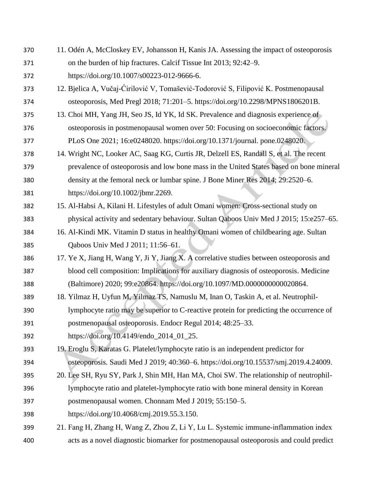11. Odén A, McCloskey EV, Johansson H, Kanis JA. Assessing the impact of osteoporosis on the burden of hip fractures. Calcif Tissue Int 2013; 92:42–9. https://doi.org/10.1007/s00223-012-9666-6. 12. Bjelica A, Vučaj-Ćirilović V, Tomašević-Todorović S, Filipović K. Postmenopausal osteoporosis, Med Pregl 2018; 71:201–5. https://doi.org/10.2298/MPNS1806201B. 13. Choi MH, Yang JH, Seo JS, Id YK, Id SK. Prevalence and diagnosis experience of osteoporosis in postmenopausal women over 50: Focusing on socioeconomic factors. PLoS One 2021; 16:e0248020. https://doi.org/10.1371/journal. pone.0248020. 14. Wright NC, Looker AC, Saag KG, Curtis JR, Delzell ES, Randall S, et al. The recent prevalence of osteoporosis and low bone mass in the United States based on bone mineral density at the femoral neck or lumbar spine. J Bone Miner Res 2014; 29:2520–6. https://doi.org/10.1002/jbmr.2269. 15. Al-Habsi A, Kilani H. Lifestyles of adult Omani women: Cross-sectional study on physical activity and sedentary behaviour. Sultan Qaboos Univ Med J 2015; 15:e257–65. 16. Al-Kindi MK. Vitamin D status in healthy Omani women of childbearing age. Sultan Qaboos Univ Med J 2011; 11:56–61. 17. Ye X, Jiang H, Wang Y, Ji Y, Jiang X. A correlative studies between osteoporosis and blood cell composition: Implications for auxiliary diagnosis of osteoporosis. Medicine (Baltimore) 2020; 99:e20864. https://doi.org/10.1097/MD.0000000000020864. 18. Yilmaz H, Uyfun M, Yilmaz TS, Namuslu M, Inan O, Taskin A, et al. Neutrophil- lymphocyte ratio may be superior to C-reactive protein for predicting the occurrence of postmenopausal osteoporosis. Endocr Regul 2014; 48:25–33. https://doi.org/10.4149/endo\_2014\_01\_25. 19. Eroglu S, Karatas G. Platelet/lymphocyte ratio is an independent predictor for osteoporosis. Saudi Med J 2019; 40:360–6. https://doi.org/10.15537/smj.2019.4.24009. 20. Lee SH, Ryu SY, Park J, Shin MH, Han MA, Choi SW. The relationship of neutrophil- lymphocyte ratio and platelet-lymphocyte ratio with bone mineral density in Korean postmenopausal women. Chonnam Med J 2019; 55:150–5. https://doi.org/10.4068/cmj.2019.55.3.150. 21. Fang H, Zhang H, Wang Z, Zhou Z, Li Y, Lu L. Systemic immune‐inflammation index acts as a novel diagnostic biomarker for postmenopausal osteoporosis and could predict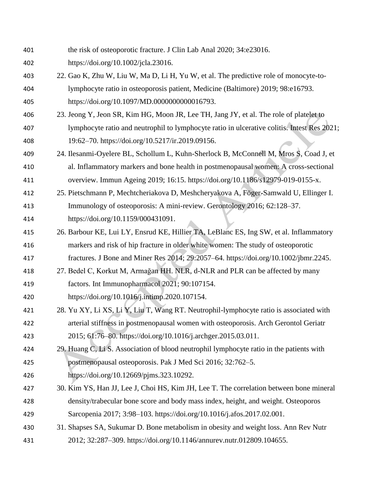- the risk of osteoporotic fracture. J Clin Lab Anal 2020; 34:e23016.
- https://doi.org/10.1002/jcla.23016.
- 22. Gao K, Zhu W, Liu W, Ma D, Li H, Yu W, et al. The predictive role of monocyte-to- lymphocyte ratio in osteoporosis patient, Medicine (Baltimore) 2019; 98:e16793. https://doi.org/10.1097/MD.0000000000016793.
- 23. Jeong Y, Jeon SR, Kim HG, Moon JR, Lee TH, Jang JY, et al. The role of platelet to lymphocyte ratio and neutrophil to lymphocyte ratio in ulcerative colitis. Intest Res 2021; 19:62–70. https://doi.org/10.5217/ir.2019.09156.
- 24. Ilesanmi-Oyelere BL, Schollum L, Kuhn-Sherlock B, McConnell M, Mros S, Coad J, et al. Inflammatory markers and bone health in postmenopausal women: A cross-sectional
- overview. Immun Ageing 2019; 16:15. https://doi.org/10.1186/s12979-019-0155-x.
- 25. Pietschmann P, Mechtcheriakova D, Meshcheryakova A, Föger-Samwald U, Ellinger I. Immunology of osteoporosis: A mini-review. Gerontology 2016; 62:128–37.
- https://doi.org/10.1159/000431091.
- 26. Barbour KE, Lui LY, Ensrud KE, Hillier TA, LeBlanc ES, Ing SW, et al. Inflammatory markers and risk of hip fracture in older white women: The study of osteoporotic
- fractures. J Bone and Miner Res 2014; 29:2057–64. https://doi.org/10.1002/jbmr.2245.
- 27. Bedel C, Korkut M, Armağan HH. NLR, d-NLR and PLR can be affected by many factors. Int Immunopharmacol 2021; 90:107154.
- https://doi.org/10.1016/j.intimp.2020.107154.
- 28. Yu XY, Li XS, Li Y, Liu T, Wang RT. Neutrophil-lymphocyte ratio is associated with arterial stiffness in postmenopausal women with osteoporosis. Arch Gerontol Geriatr 2015; 61:76–80. https://doi.org/10.1016/j.archger.2015.03.011.
- 424 29. Huang C, Li S. Association of blood neutrophil lymphocyte ratio in the patients with postmenopausal osteoporosis. Pak J Med Sci 2016; 32:762–5.
- https://doi.org/10.12669/pjms.323.10292.
- 30. Kim YS, Han JJ, Lee J, Choi HS, Kim JH, Lee T. The correlation between bone mineral density/trabecular bone score and body mass index, height, and weight. Osteoporos Sarcopenia 2017; 3:98–103. https://doi.org/10.1016/j.afos.2017.02.001.
- 31. Shapses SA, Sukumar D. Bone metabolism in obesity and weight loss. Ann Rev Nutr 2012; 32:287–309. https://doi.org/10.1146/annurev.nutr.012809.104655.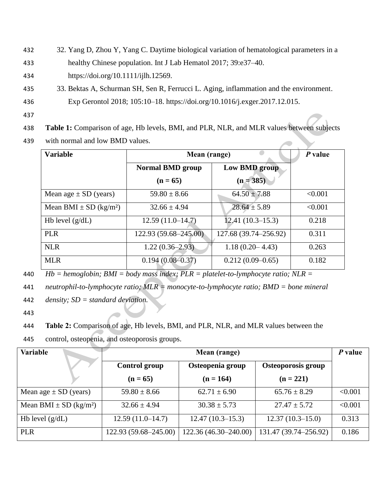432 32. Yang D, Zhou Y, Yang C. Daytime biological variation of hematological parameters in a

433 healthy Chinese population. Int J Lab Hematol 2017; 39:e37–40.

434 https://doi.org/10.1111/ijlh.12569.

- 435 33. Bektas A, Schurman SH, Sen R, Ferrucci L. Aging, inflammation and the environment.
- 436 Exp Gerontol 2018; 105:10–18. https://doi.org/10.1016/j.exger.2017.12.015.
- 437
- 438 **Table 1:** Comparison of age, Hb levels, BMI, and PLR, NLR, and MLR values between subjects
- 439 with normal and low BMD values.

| <b>Variable</b>                        | Mean (range)            | P value               |         |
|----------------------------------------|-------------------------|-----------------------|---------|
|                                        | <b>Normal BMD group</b> | Low BMD group         |         |
|                                        | $(n = 65)$              | $(n = 385)$           |         |
| Mean age $\pm$ SD (years)              | $59.80 \pm 8.66$        | $64.50 \pm 7.88$      | < 0.001 |
| Mean BMI $\pm$ SD (kg/m <sup>2</sup> ) | $32.66 \pm 4.94$        | $28.64 \pm 5.89$      | < 0.001 |
| Hb level $(g/dL)$                      | $12.59(11.0-14.7)$      | $12.41(10.3-15.3)$    | 0.218   |
| <b>PLR</b>                             | 122.93 (59.68–245.00)   | 127.68 (39.74–256.92) | 0.311   |
| <b>NLR</b>                             | $1.22(0.36-2.93)$       | $1.18(0.20 - 4.43)$   | 0.263   |
| <b>MLR</b>                             | $0.194(0.08 - 0.37)$    | $0.212(0.09-0.65)$    | 0.182   |

440 *Hb = hemoglobin; BMI = body mass index; PLR = platelet-to-lymphocyte ratio; NLR =* 

441 *neutrophil-to-lymphocyte ratio; MLR = monocyte-to-lymphocyte ratio; BMD = bone mineral* 

442 *density; SD = standard deviation.*

443

- 444 **Table 2:** Comparison of age, Hb levels, BMI, and PLR, NLR, and MLR values between the
- 445 control, osteopenia, and osteoporosis groups.

| Variable                               |                       | Mean (range)          |                       | P value |
|----------------------------------------|-----------------------|-----------------------|-----------------------|---------|
|                                        | <b>Control group</b>  | Osteopenia group      | Osteoporosis group    |         |
|                                        | $(n = 65)$            | $(n = 164)$           | $(n = 221)$           |         |
| Mean age $\pm$ SD (years)              | $59.80 \pm 8.66$      | $62.71 \pm 6.90$      | $65.76 \pm 8.29$      | < 0.001 |
| Mean BMI $\pm$ SD (kg/m <sup>2</sup> ) | $32.66 \pm 4.94$      | $30.38 \pm 5.73$      | $27.47 \pm 5.72$      | < 0.001 |
| Hb level $(g/dL)$                      | $12.59(11.0-14.7)$    | $12.47(10.3-15.3)$    | $12.37(10.3-15.0)$    | 0.313   |
| <b>PLR</b>                             | 122.93 (59.68–245.00) | 122.36 (46.30-240.00) | 131.47 (39.74–256.92) | 0.186   |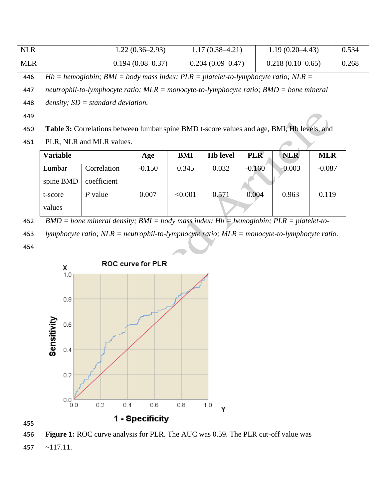| <b>NLR</b> | $1.22(0.36-2.93)$  | $1.17(0.38 - 4.21)$ | $1.19(0.20-4.43)$  | 0.534 |
|------------|--------------------|---------------------|--------------------|-------|
| MLR        | $0.194(0.08-0.37)$ | $0.204(0.09-0.47)$  | $0.218(0.10-0.65)$ | 0.268 |

446 *Hb = hemoglobin; BMI = body mass index; PLR = platelet-to-lymphocyte ratio; NLR =* 

447 *neutrophil-to-lymphocyte ratio; MLR = monocyte-to-lymphocyte ratio; BMD = bone mineral* 

448 *density; SD = standard deviation.*

449

- 450 **Table 3:** Correlations between lumbar spine BMD t-score values and age, BMI, Hb levels, and
- 451 PLR, NLR and MLR values.

| <b>Variable</b> |             | Age      | <b>BMI</b> | <b>Hb</b> level | <b>PLR</b> | <b>NLR</b> | <b>MLR</b> |
|-----------------|-------------|----------|------------|-----------------|------------|------------|------------|
| Lumbar          | Correlation | $-0.150$ | 0.345      | 0.032           | $-0.160$   | $-0.003$   | $-0.087$   |
| spine BMD       | coefficient |          |            |                 |            |            |            |
| t-score         | P value     | 0.007    | < 0.001    | 0.571           | 0.004      | 0.963      | 0.119      |
| values          |             |          |            |                 |            |            |            |

452 *BMD = bone mineral density; BMI = body mass index; Hb = hemoglobin; PLR = platelet-to-*

453 *lymphocyte ratio; NLR = neutrophil-to-lymphocyte ratio; MLR = monocyte-to-lymphocyte ratio.*

454





456 **Figure 1:** ROC curve analysis for PLR. The AUC was 0.59. The PLR cut-off value was 457 ~117.11.